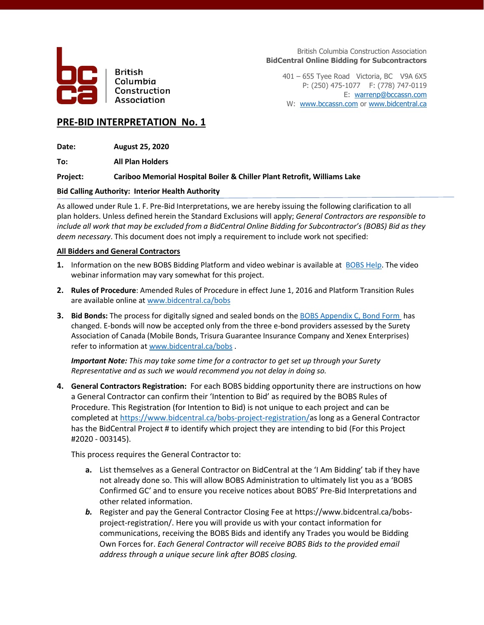

**British** Columbia Construction Association

British Columbia Construction Association **BidCentral Online Bidding for Subcontractors**

401 – 655 Tyee Road Victoria, BC V9A 6X5 P: (250) 475-1077 F: (778) 747-0119 E: [warrenp@bccassn.com](mailto:warrenp@bccassn.com) W: [www.bccassn.com](http://www.bccassn.com/) o[r www.bidcentral.ca](http://www.bidcentral.ca/)

# **PRE-BID INTERPRETATION No. 1**

**Date: August 25, 2020**

**To: All Plan Holders**

## **Project: Cariboo Memorial Hospital Boiler & Chiller Plant Retrofit, Williams Lake**

### **Bid Calling Authority: Interior Health Authority**

As allowed under Rule 1. F. Pre-Bid Interpretations, we are hereby issuing the following clarification to all plan holders. Unless defined herein the Standard Exclusions will apply; *General Contractors are responsible to include all work that may be excluded from a BidCentral Online Bidding for Subcontractor's (BOBS) Bid as they deem necessary*. This document does not imply a requirement to include work not specified:

### **All Bidders and General Contractors**

- **1.** Information on the new BOBS Bidding Platform and video webinar is available at [BOBS Help.](http://www.bidcentral.ca/bobs) The video webinar information may vary somewhat for this project.
- **2. Rules of Procedure**: Amended Rules of Procedure in effect June 1, 2016 and Platform Transition Rules are available online at [www.bidcentral.ca/bobs](http://www.bidcentral.ca/bobs)
- **3.** Bid Bonds: The process for digitally signed and sealed bonds on th[e BOBS Appendix C, Bond Form](https://www.bidcentral.ca/help/bobs-bond-form/) has changed. E-bonds will now be accepted only from the three e-bond providers assessed by the Surety Association of Canada (Mobile Bonds, Trisura Guarantee Insurance Company and Xenex Enterprises) refer to information at [www.bidcentral.ca/bobs](http://www.bidcentral.ca/bobs) .

*Important Note: This may take some time for a contractor to get set up through your Surety Representative and as such we would recommend you not delay in doing so.* 

**4. General Contractors Registration:** For each BOBS bidding opportunity there are instructions on how a General Contractor can confirm their 'Intention to Bid' as required by the BOBS Rules of Procedure. This Registration (for Intention to Bid) is not unique to each project and can be completed at [https://www.bidcentral.ca/bobs-project-registration/a](https://www.bidcentral.ca/bobs-project-registration/)s long as a General Contractor has the BidCentral Project # to identify which project they are intending to bid (For this Project #2020 - 003145).

This process requires the General Contractor to:

- **a.** List themselves as a General Contractor on BidCentral at the 'I Am Bidding' tab if they have not already done so. This will allow BOBS Administration to ultimately list you as a 'BOBS Confirmed GC' and to ensure you receive notices about BOBS' Pre-Bid Interpretations and other related information.
- *b.* Register and pay the General Contractor Closing Fee at https://www.bidcentral.ca/bobsproject-registration/. Here you will provide us with your contact information for communications, receiving the BOBS Bids and identify any Trades you would be Bidding Own Forces for. *Each General Contractor will receive BOBS Bids to the provided email address through a unique secure link after BOBS closing.*